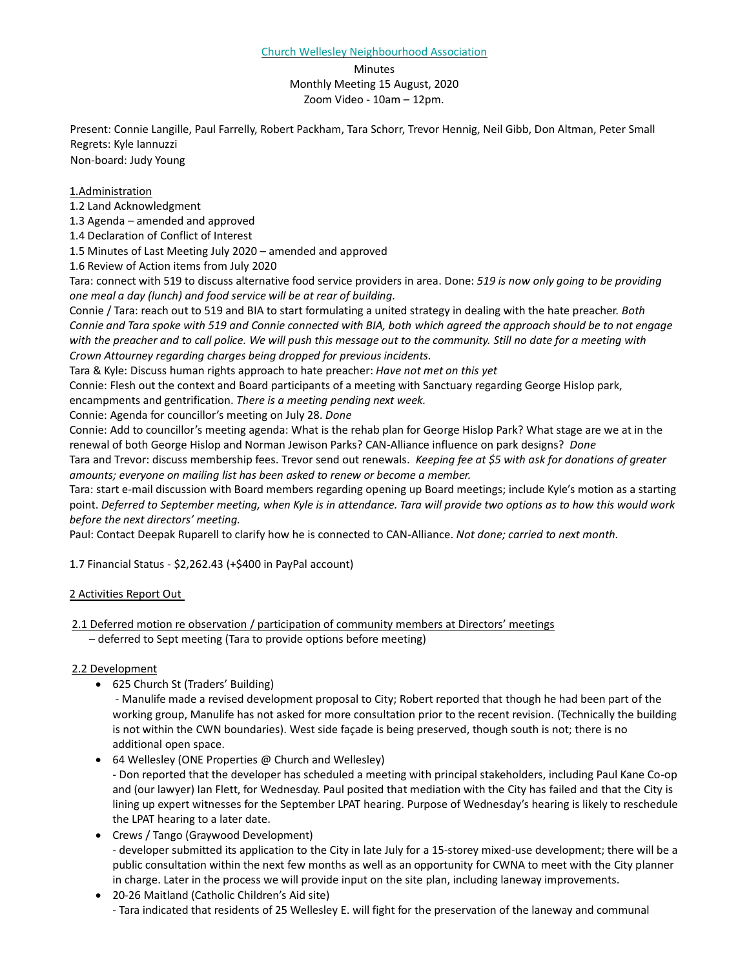### **Minutes** Monthly Meeting 15 August, 2020 Zoom Video - 10am – 12pm.

Present: Connie Langille, Paul Farrelly, Robert Packham, Tara Schorr, Trevor Hennig, Neil Gibb, Don Altman, Peter Small Regrets: Kyle Iannuzzi

Non-board: Judy Young

## 1.Administration

1.2 Land Acknowledgment

1.3 Agenda – amended and approved

1.4 Declaration of Conflict of Interest

1.5 Minutes of Last Meeting July 2020 – amended and approved

1.6 Review of Action items from July 2020

Tara: connect with 519 to discuss alternative food service providers in area. Done: *519 is now only going to be providing one meal a day (lunch) and food service will be at rear of building.* 

Connie / Tara: reach out to 519 and BIA to start formulating a united strategy in dealing with the hate preacher. *Both Connie and Tara spoke with 519 and Connie connected with BIA, both which agreed the approach should be to not engage with the preacher and to call police. We will push this message out to the community. Still no date for a meeting with Crown Attourney regarding charges being dropped for previous incidents.* 

Tara & Kyle: Discuss human rights approach to hate preacher: *Have not met on this yet*

Connie: Flesh out the context and Board participants of a meeting with Sanctuary regarding George Hislop park,

encampments and gentrification. *There is a meeting pending next week.* 

Connie: Agenda for councillor's meeting on July 28. *Done*

Connie: Add to councillor's meeting agenda: What is the rehab plan for George Hislop Park? What stage are we at in the renewal of both George Hislop and Norman Jewison Parks? CAN-Alliance influence on park designs? *Done*

Tara and Trevor: discuss membership fees. Trevor send out renewals. *Keeping fee at \$5 with ask for donations of greater amounts; everyone on mailing list has been asked to renew or become a member.* 

Tara: start e-mail discussion with Board members regarding opening up Board meetings; include Kyle's motion as a starting point. *Deferred to September meeting, when Kyle is in attendance. Tara will provide two options as to how this would work before the next directors' meeting.*

Paul: Contact Deepak Ruparell to clarify how he is connected to CAN-Alliance. *Not done; carried to next month.*

1.7 Financial Status - \$2,262.43 (+\$400 in PayPal account)

# 2 Activities Report Out

2.1 Deferred motion re observation / participation of community members at Directors' meetings

– deferred to Sept meeting (Tara to provide options before meeting)

# 2.2 Development

• 625 Church St (Traders' Building)

- Manulife made a revised development proposal to City; Robert reported that though he had been part of the working group, Manulife has not asked for more consultation prior to the recent revision. (Technically the building is not within the CWN boundaries). West side façade is being preserved, though south is not; there is no additional open space.

• 64 Wellesley (ONE Properties @ Church and Wellesley)

- Don reported that the developer has scheduled a meeting with principal stakeholders, including Paul Kane Co-op and (our lawyer) Ian Flett, for Wednesday. Paul posited that mediation with the City has failed and that the City is lining up expert witnesses for the September LPAT hearing. Purpose of Wednesday's hearing is likely to reschedule the LPAT hearing to a later date.

• Crews / Tango (Graywood Development) - developer submitted its application to the City in late July for a 15-storey mixed-use development; there will be a public consultation within the next few months as well as an opportunity for CWNA to meet with the City planner in charge. Later in the process we will provide input on the site plan, including laneway improvements.

• 20-26 Maitland (Catholic Children's Aid site) - Tara indicated that residents of 25 Wellesley E. will fight for the preservation of the laneway and communal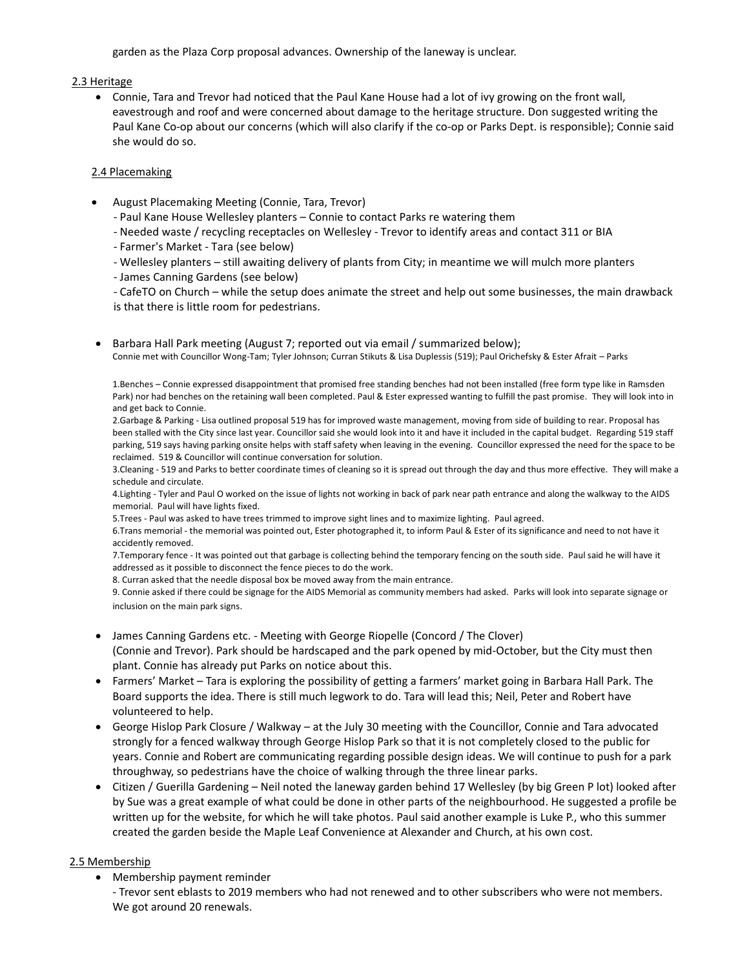garden as the Plaza Corp proposal advances. Ownership of the laneway is unclear.

## 2.3 Heritage

• Connie, Tara and Trevor had noticed that the Paul Kane House had a lot of ivy growing on the front wall, eavestrough and roof and were concerned about damage to the heritage structure. Don suggested writing the Paul Kane Co-op about our concerns (which will also clarify if the co-op or Parks Dept. is responsible); Connie said she would do so.

## 2.4 Placemaking

- August Placemaking Meeting (Connie, Tara, Trevor)
	- Paul Kane House Wellesley planters Connie to contact Parks re watering them
	- Needed waste / recycling receptacles on Wellesley Trevor to identify areas and contact 311 or BIA
	- Farmer's Market Tara (see below)
	- Wellesley planters still awaiting delivery of plants from City; in meantime we will mulch more planters
	- James Canning Gardens (see below)

- CafeTO on Church – while the setup does animate the street and help out some businesses, the main drawback is that there is little room for pedestrians.

• Barbara Hall Park meeting (August 7; reported out via email / summarized below); Connie met with Councillor Wong-Tam; Tyler Johnson; Curran Stikuts & Lisa Duplessis (519); Paul Orichefsky & Ester Afrait – Parks

1.Benches – Connie expressed disappointment that promised free standing benches had not been installed (free form type like in Ramsden Park) nor had benches on the retaining wall been completed. Paul & Ester expressed wanting to fulfill the past promise. They will look into in and get back to Connie.

2.Garbage & Parking - Lisa outlined proposal 519 has for improved waste management, moving from side of building to rear. Proposal has been stalled with the City since last year. Councillor said she would look into it and have it included in the capital budget. Regarding 519 staff parking, 519 says having parking onsite helps with staff safety when leaving in the evening. Councillor expressed the need for the space to be reclaimed. 519 & Councillor will continue conversation for solution.

3.Cleaning - 519 and Parks to better coordinate times of cleaning so it is spread out through the day and thus more effective. They will make a schedule and circulate.

4.Lighting - Tyler and Paul O worked on the issue of lights not working in back of park near path entrance and along the walkway to the AIDS memorial. Paul will have lights fixed.

5.Trees - Paul was asked to have trees trimmed to improve sight lines and to maximize lighting. Paul agreed.

6.Trans memorial - the memorial was pointed out, Ester photographed it, to inform Paul & Ester of its significance and need to not have it accidently removed.

7.Temporary fence - It was pointed out that garbage is collecting behind the temporary fencing on the south side. Paul said he will have it addressed as it possible to disconnect the fence pieces to do the work.

8. Curran asked that the needle disposal box be moved away from the main entrance.

9. Connie asked if there could be signage for the AIDS Memorial as community members had asked. Parks will look into separate signage or inclusion on the main park signs.

- James Canning Gardens etc. Meeting with George Riopelle (Concord / The Clover) (Connie and Trevor). Park should be hardscaped and the park opened by mid-October, but the City must then plant. Connie has already put Parks on notice about this.
- Farmers' Market Tara is exploring the possibility of getting a farmers' market going in Barbara Hall Park. The Board supports the idea. There is still much legwork to do. Tara will lead this; Neil, Peter and Robert have volunteered to help.
- George Hislop Park Closure / Walkway at the July 30 meeting with the Councillor, Connie and Tara advocated strongly for a fenced walkway through George Hislop Park so that it is not completely closed to the public for years. Connie and Robert are communicating regarding possible design ideas. We will continue to push for a park throughway, so pedestrians have the choice of walking through the three linear parks.
- Citizen / Guerilla Gardening Neil noted the laneway garden behind 17 Wellesley (by big Green P lot) looked after by Sue was a great example of what could be done in other parts of the neighbourhood. He suggested a profile be written up for the website, for which he will take photos. Paul said another example is Luke P., who this summer created the garden beside the Maple Leaf Convenience at Alexander and Church, at his own cost.

# 2.5 Membership

• Membership payment reminder

- Trevor sent eblasts to 2019 members who had not renewed and to other subscribers who were not members. We got around 20 renewals.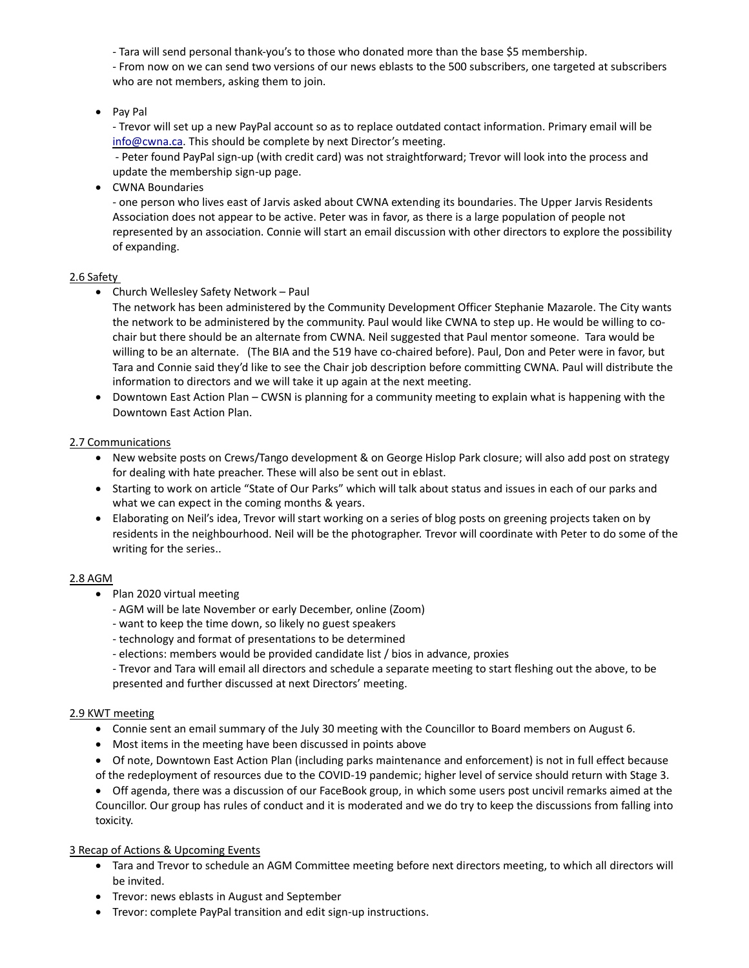- Tara will send personal thank-you's to those who donated more than the base \$5 membership.

- From now on we can send two versions of our news eblasts to the 500 subscribers, one targeted at subscribers who are not members, asking them to join.

## • Pay Pal

- Trevor will set up a new PayPal account so as to replace outdated contact information. Primary email will be [info@cwna.ca.](mailto:info@cwna.ca) This should be complete by next Director's meeting.

- Peter found PayPal sign-up (with credit card) was not straightforward; Trevor will look into the process and update the membership sign-up page.

• CWNA Boundaries

- one person who lives east of Jarvis asked about CWNA extending its boundaries. The Upper Jarvis Residents Association does not appear to be active. Peter was in favor, as there is a large population of people not represented by an association. Connie will start an email discussion with other directors to explore the possibility of expanding.

### 2.6 Safety

• Church Wellesley Safety Network – Paul

The network has been administered by the Community Development Officer Stephanie Mazarole. The City wants the network to be administered by the community. Paul would like CWNA to step up. He would be willing to cochair but there should be an alternate from CWNA. Neil suggested that Paul mentor someone. Tara would be willing to be an alternate. (The BIA and the 519 have co-chaired before). Paul, Don and Peter were in favor, but Tara and Connie said they'd like to see the Chair job description before committing CWNA. Paul will distribute the information to directors and we will take it up again at the next meeting.

• Downtown East Action Plan – CWSN is planning for a community meeting to explain what is happening with the Downtown East Action Plan.

### 2.7 Communications

- New website posts on Crews/Tango development & on George Hislop Park closure; will also add post on strategy for dealing with hate preacher. These will also be sent out in eblast.
- Starting to work on article "State of Our Parks" which will talk about status and issues in each of our parks and what we can expect in the coming months & years.
- Elaborating on Neil's idea, Trevor will start working on a series of blog posts on greening projects taken on by residents in the neighbourhood. Neil will be the photographer. Trevor will coordinate with Peter to do some of the writing for the series..

### 2.8 AGM

- Plan 2020 virtual meeting
	- AGM will be late November or early December, online (Zoom)
	- want to keep the time down, so likely no guest speakers
	- technology and format of presentations to be determined
	- elections: members would be provided candidate list / bios in advance, proxies

- Trevor and Tara will email all directors and schedule a separate meeting to start fleshing out the above, to be presented and further discussed at next Directors' meeting.

### 2.9 KWT meeting

- Connie sent an email summary of the July 30 meeting with the Councillor to Board members on August 6.
- Most items in the meeting have been discussed in points above
- Of note, Downtown East Action Plan (including parks maintenance and enforcement) is not in full effect because of the redeployment of resources due to the COVID-19 pandemic; higher level of service should return with Stage 3.

• Off agenda, there was a discussion of our FaceBook group, in which some users post uncivil remarks aimed at the Councillor. Our group has rules of conduct and it is moderated and we do try to keep the discussions from falling into toxicity.

### 3 Recap of Actions & Upcoming Events

- Tara and Trevor to schedule an AGM Committee meeting before next directors meeting, to which all directors will be invited.
- Trevor: news eblasts in August and September
- Trevor: complete PayPal transition and edit sign-up instructions.